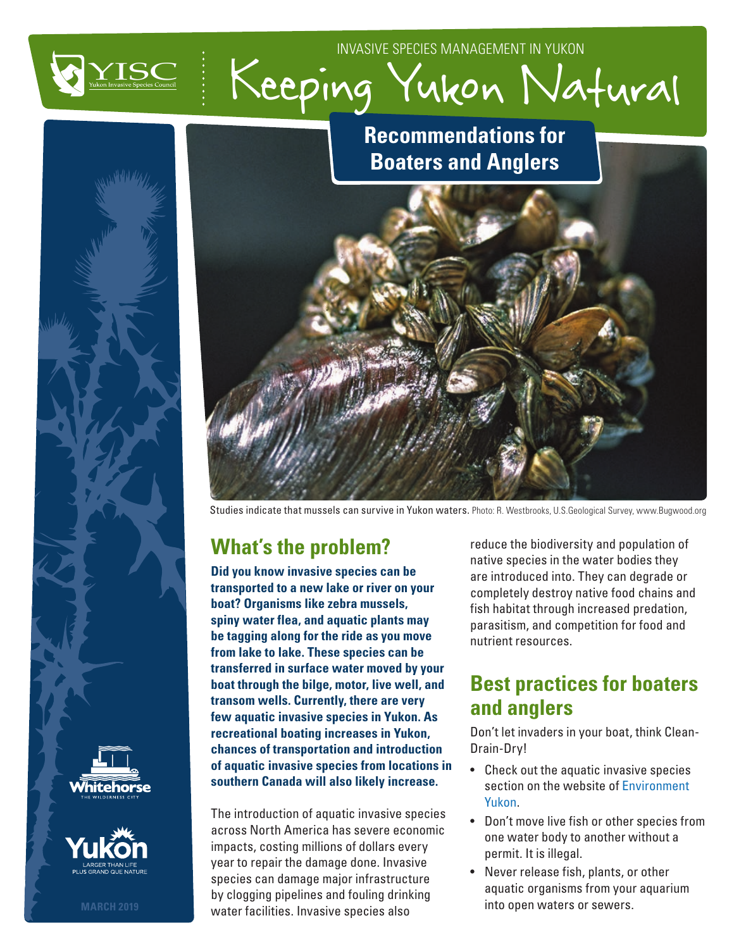



## **Recommendations for Boaters and Anglers**



Studies indicate that mussels can survive in Yukon waters. Photo: R. Westbrooks, U.S.Geological Survey, www.Bugwood.org

# **What's the problem?**

**Did you know invasive species can be transported to a new lake or river on your boat? Organisms like zebra mussels, spiny water flea, and aquatic plants may be tagging along for the ride as you move from lake to lake. These species can be transferred in surface water moved by your boat through the bilge, motor, live well, and transom wells. Currently, there are very few aquatic invasive species in Yukon. As recreational boating increases in Yukon, chances of transportation and introduction of aquatic invasive species from locations in southern Canada will also likely increase.** 

The introduction of aquatic invasive species across North America has severe economic impacts, costing millions of dollars every year to repair the damage done. Invasive species can damage major infrastructure by clogging pipelines and fouling drinking water facilities. Invasive species also

reduce the biodiversity and population of native species in the water bodies they are introduced into. They can degrade or completely destroy native food chains and fish habitat through increased predation, parasitism, and competition for food and nutrient resources.

### **Best practices for boaters and anglers**

Don't let invaders in your boat, think Clean-Drain-Dry!

- Check out the aquatic invasive species section on the website of [Environment](https://yukon.ca/en/outdoor-recreation-and-wildlife/fishing/aquatic-invasive-species#what-are-aquatic-invasive-species)  [Yukon](https://yukon.ca/en/outdoor-recreation-and-wildlife/fishing/aquatic-invasive-species#what-are-aquatic-invasive-species).
- Don't move live fish or other species from one water body to another without a permit. It is illegal.
- Never release fish, plants, or other aquatic organisms from your aquarium into open waters or sewers.